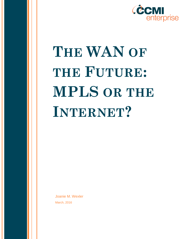

# **THE WAN OF THE FUTURE: MPLS OR THE INTERNET?**

Joanie M. Wexler March, 2016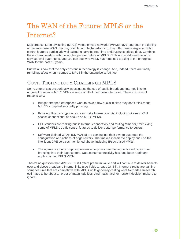# The WAN of the Future: MPLS or the Internet?

Multiprotocol Label Switching (MPLS) virtual private networks (VPNs) have long been the darling of the enterprise WAN. Secure, reliable, and high-performing, they offer business-grade traffic control features particularly well-suited to carrying real-time and business-critical data. Combine these characteristics with the single-operator nature of MPLS VPNs and end-to-end network service-level guarantees, and you can see why MPLS has remained top dog in the enterprise WAN for the past 15 years.

But we all know that the only constant in technology is change. And, indeed, there are finally rumblings afoot when it comes to MPLS in the enterprise WAN, too.

#### COST, TECHNOLOGY CHALLENGE MPLS

Some enterprises are seriously investigating the use of public broadband Internet links to augment or replace MPLS VPNs in some or all of their distributed sites. There are several reasons why:

- Budget-strapped enterprises want to save a few bucks in sites they don't think merit MPLS's comparatively hefty price tag.
- By using IPsec encryption, you can make Internet circuits, including wireless WAN access connections, as secure as MPLS VPNs.
- CPE vendors are making public Internet connectivity and routing "smarter," mimicking some of MPLS's traffic control features to deliver better performance to buyers.
- Software-defined WANs (SD-WANs) are coming into their own to automate the configuration and actions of edge routers. That makes it easier to deploy and use the intelligent CPE services mentioned above, including IPsec-based VPNs.
- The uptake of cloud computing means enterprises need fewer dedicated pipes from branches into their data centers. Data center connectivity has long been a primary application for MPLS VPNs.

There's no question that MPLS VPN still offers premium value and will continue to deliver benefits over and above broadband Internet links (see Table 1, page 2). Still, Internet circuits are gaining some features that are competitive with MPLS while generally costing what Nemertes Research estimates to be about an order of magnitude less. And that's hard for network decision makers to ignore.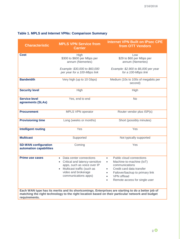| <b>Characteristic</b>                                  | <b>MPLS VPN Service from</b><br><b>Carrier</b>                                                                                                                                                  | <b>Internet VPN Built on IPsec CPE</b><br>from OTT Vendors                                                                                                                                                                                                                                                                                      |  |
|--------------------------------------------------------|-------------------------------------------------------------------------------------------------------------------------------------------------------------------------------------------------|-------------------------------------------------------------------------------------------------------------------------------------------------------------------------------------------------------------------------------------------------------------------------------------------------------------------------------------------------|--|
| <b>Cost</b>                                            | High<br>\$300 to \$600 per Mbps per<br>annum (Nemertes)<br>Example: \$30,000 to \$60,000<br>per year for a 100-Mbps link                                                                        | Low<br>\$29 to \$60 per Mbps per<br>annum (Nemertes)<br>Example: \$2,900 to \$6,000 per year<br>for a 100-Mbps link                                                                                                                                                                                                                             |  |
| <b>Bandwidth</b>                                       | Very high (up to 10 Gbps)                                                                                                                                                                       | Medium (10s to 100s of megabits per<br>second)                                                                                                                                                                                                                                                                                                  |  |
| <b>Security level</b>                                  | High                                                                                                                                                                                            | High                                                                                                                                                                                                                                                                                                                                            |  |
| <b>Service-level</b><br>agreements (SLAs)              | Yes, end to end                                                                                                                                                                                 | <b>No</b>                                                                                                                                                                                                                                                                                                                                       |  |
| <b>Procurement</b>                                     | MPLS VPN operator                                                                                                                                                                               | Router vendor plus ISP(s)                                                                                                                                                                                                                                                                                                                       |  |
| <b>Provisioning time</b>                               | Long (weeks or months)                                                                                                                                                                          | Short (possibly minutes)                                                                                                                                                                                                                                                                                                                        |  |
| <b>Intelligent routing</b>                             | Yes                                                                                                                                                                                             | Yes                                                                                                                                                                                                                                                                                                                                             |  |
| <b>Multicast</b>                                       | Supported                                                                                                                                                                                       | Not typically supported                                                                                                                                                                                                                                                                                                                         |  |
| <b>SD-WAN configuration</b><br>automation capabilities | Coming                                                                                                                                                                                          | Yes                                                                                                                                                                                                                                                                                                                                             |  |
| <b>Prime use cases</b>                                 | Data center connections<br>$\bullet$<br>Critical and latency-sensitive<br>$\bullet$<br>apps, such as voice over IP<br>Multicast traffic (such as<br>video and brokerage<br>communications apps) | Public cloud connections<br>$\bullet$<br>Machine-to-machine (IoT)<br>$\bullet$<br>communications<br>Credit card data transfer<br>$\bullet$<br>Failover/backup to primary link<br>$\bullet$<br>VPN offload<br>Remote access for single user<br>Each WAN type has its merits and its shortcomings. Enterprises are starting to do a better job of |  |
| requirements.                                          |                                                                                                                                                                                                 | matching the right technology to the right location based on their particular network and budget                                                                                                                                                                                                                                                |  |

#### **Table 1. MPLS and Internet VPNs: Comparison Summary**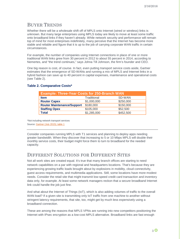#### BUYER TRENDS

Whether there will be a wholesale shift off of MPLS onto Internet (wired or wireless) links is unknown. But many large enterprises using MPLS today are likely to move at least some traffic onto broadband links if they haven't already. While network security and performance will remain top of mind for most enterprises indefinitely, many perceive that the Internet has become more stable and reliable and figure that it is up to the job of carrying corporate WAN traffic in certain circumstances.

For example, the number of companies using Internet connections in place of one or more traditional WAN links grew from 30 percent in 2012 to about 55 percent in 2014, according to Nemertes, and "the trend continues," says Johna Till Johnson, the firm's founder and CEO.

One big reason is cost, of course. In fact, even putting transport service costs aside, Gartner estimates that the emergence of SD-WANs and running a mix of MPLS and Internet links in a hybrid fashion can save up to 40 percent in capital expenses, maintenance and operational costs (see Table 2).

| <b>Example: Three-Year Costs for 250-Branch WAN</b> |             |           |  |
|-----------------------------------------------------|-------------|-----------|--|
| <b>Item</b>                                         | Traditional | SD-WAN    |  |
| <b>Router Capex</b>                                 | \$1,000,000 | \$250,000 |  |
| <b>Router Maintenance/Support</b>                   | \$180,000   | \$150,000 |  |
| <b>Staffing Opex</b>                                | \$105,000   | \$52,500  |  |
| <b>Total</b>                                        | \$1,285,000 | \$452,500 |  |

#### **Table 2. Comparative Costs\***

\*Not including network transport services Source: [Gartner \(July 2015\); table 1](http://www.gartner.com/technology/reprints.do?id=1-2JRZ2US&ct=150722&st=sb#h-d2e187)

Consider companies running MPLS with T1 services and planning to deploy apps needing greater bandwidth. When they discover that increasing to 5 or 10 Mbps MPLS will double their monthly service costs, their budget might force them to turn to broadband for the needed capacity.

### DIFFERENT SOLUTIONS FOR DIFFERENT SITES

Not all work sites are created equal. It's true that many branch offices are starting to need network capabilities on a par with regional and headquarters locations. That's because they are experiencing growing traffic loads brought about by explosions in mobility, cloud connectivity, guest access requirements, and multimedia applications. Still, some locations have more modest needs. Consider the retail site that might transmit low-speed credit card transaction and inventory data only, for example. At least some network managers reckon that a secure broadband Internet link could handle the job just fine.

And what about the Internet of Things (IoT), which is also adding volumes of traffic to the overall WAN load? If a given site is transmitting only IoT traffic from one machine to another without stringent latency requirements, that site, too, might get by much less expensively using a broadband connection.

These are among the reasons that MPLS VPNs are running into new competitors positioning the Internet with IPsec encryption as a low-cost MPLS alternative. Broadband links are fast enough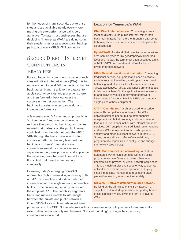for the needs of many secondary enterprise sites and are available nearly everywhere, making price-to-performance gains very attractive. To date, most businesses that are deploying "Internet as WAN" are doing so in their smaller sites or as a secondary, backup path to a primary MPLS VPN connection.

## SECURE DIRECT INTERNET CONNECTIONS IN **BRANCHES**

It's also becoming common to provide branch sites with direct Internet access (DIA). It is far more efficient to build DIA connections than to backhaul all branch traffic to the data center, apply security policies and protections there, and then forward it back out over the corporate Internet connection. The backhauling setup wastes bandwidth and impedes performance.

A few years ago, DIA was known primarily as "split tunneling" and was considered a reckless thing to do. At that time, companies worried that malware on the public Internet could leak from the Internet onto the MPLS VPN through the branch router and infect corporate traffic. At the very least, without backhauling, users' Internet access connections would be insecure unless separate security was procured and applied to the separate, branch-based Internet traffic flows. And that meant more cost and complexity.

However, today's emerging SD-WAN approach to hybrid networking – running both an MPLS connection and a direct Internet connection out of a single router in a branch – builds in special routing security zones into the endpoint CPE. The capability segments traffic and makes it unable to intermingle between the private and public networks. Often, SD-WANs also layer advanced threat

#### **Lexicon for Tomorrow's WAN**

**DIA - Direct Internet access.** Connecting a branch location directly to the public Internet, rather than backhauling traffic from the site through a data center hub to apply security policies before sending it on to its destination.

**Hybrid WAN.** A network that uses two or more widearea service types to link geographically dispersed locations. Today, the term most often describes a mix of MPLS VPN and broadband Internet links in a given enterprise network.

**NFV** - **Network functions virtualization.** Converting traditional network equipment appliance functions – such as routing, firewalling, WAN optimization, load balancing, and others – into software instances, or "virtual appliances." Virtual appliances are analogous to "virtual machines" in the application server area of IT and allow very quick deployment of network infrastructure functions. Multiple NFVs can run on a single piece of host equipment.

**OTT - "Over the top."** A phrase used to describe new WAN competitors who do not offer WAN network services per se, but do offer endpoint equipment with built-in security and smart network features to use in conjunction with Internet transport services. OTT suppliers are traditional router vendors and new WAN equipment entrants who provide security and other intelligent software in their CPE. Some, but not all, also offer software-defined, programmatic capabilities to configure and change the network (see below).

**SDN - Software-defined networking**. A modern, automated way of configuring networks by using programmatic interfaces to activate, change, or decommission physical or virtual network appliances. This is a much simpler and speedier way to operate networks than the traditional approach of buying, installing, testing, managing, and updating each piece of networking equipment separately.

**SD-WAN - Software-defined wide-area network.**  Building on the principles of the SDN (above), a simplified, automated approach to supporting branch office connectivity, usually in the form of a hybrid WAN.

protection into the CPE. Some integrate with your own security policy servers to automatically extend data center security mechanisms. So "split tunneling" no longer has the nasty connotations it once did.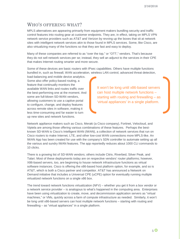#### WHO'S OFFERING WHAT?

MPLS alternatives are appearing primarily from equipment makers bundling security and traffic control features into routing gear at customer endpoints. They are, in effect, taking on MPLS VPN network service providers such as AT&T and Verizon by revving up the boxes that sit at network sites with intelligent network services akin to those found in MPLS services. Some, like Cisco, are also virtualizing many of the functions so that they are fast and easy to deploy.

Many of these companies are referred to as "over the top," or "OTT," vendors. That's because they do not sell network services per se; instead, they sell an adjunct to the services in their CPE that makes Internet routing smarter and more secure.

Some of these devices are basic routers with IPsec capabilities. Others have multiple functions bundled in, such as firewall, WAN acceleration, wireless LAN control, advanced threat detection,

load-balancing and mobile device analytics. Some also offer policy-based routing, a feature that continually monitors the available WAN links and routes traffic over the best-performing one at the moment. And some are full-blown SD-WAN vendors, allowing customers to use a captive portal to configure, change, and deploy features across remote sites in software, making it less time-consuming and far easier to turn up new sites and network functions.

It won't be long until x86-based servers can host multiple network functions – starting with routing and firewalling – as 'virtual appliances' in a single platform.

Network appliance makers such as Cisco, Meraki (a Cisco company), Fortinet, Velocloud, and Viptela are among those offering various combinations of these features. Perhaps the bestknown SD-WAN is Cisco's Intelligent WAN (IWAN), a collection of network services that run on Cisco routers to make Internet, LTE, and other low-cost WAN connections more MPLS-like. An IWAN App has been created for use with the company's SDN controller to automate setting up all the various and sundry IWAN features. The app reportedly reduces about 1000 CLI commands to 10 clicks.

There is a growing list of SD-WAN vendors; others include Citrix, Riverbed, Silver Peak, and Talari. Most of these deployments today are on respective vendors' router platforms; however, X86-based servers, too, are beginning to house network infrastructure functions as virtual software instances. Cisco is offering the x86-based host platform option, for example, and so is AT&T, which is both a Cisco partner and competitor. AT&T has announced a Network on Demand initiative that includes a Universal CPE (uCPE) option for eventually running multiple virtualized network functions on a single x86 box.

The trend toward network functions virtualization (NFV) – whether you get it from a box vendor or a network service provider – is analogous to what's happened in the computing area. Enterprises have been using virtualization to create, move, and decommission application servers as "virtual machines," or VMs, quickly across a farm of compute infrastructure as needed. Similarly, it won't be long until x86-based servers can host multiple network functions – starting with routing and firewalling – as "virtual appliances" in a single platform.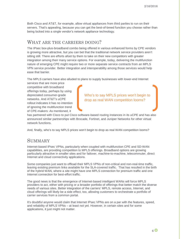Both Cisco and AT&T, for example, allow virtual appliances from third parties to run on their servers. That's appealing, because you can get the best-of-breed function you choose rather than being locked into a single vendor's network appliance technology.

#### WHAT ARE THE CARRIERS DOING?

The IPsec box-plus-broadband combo being offered in various enhanced forms by CPE vendors is growing more attractive, but you can bet that the traditional network service providers aren't sitting still. There are efforts afoot by them to take on their new competitors with greater integration among their many service options. For example, today, delivering the multifunction nature of emerging CPE might require two or more separate service contracts from an MPLS VPN service provider. Better integration and interoperability among those services would help ease that barrier.

The MPLS carriers have also alluded to plans to supply businesses with lower-end Internet

services that are more price competitive with broadband offerings today, perhaps by using depreciated consumer-grade networks. And AT&T's uCPE rollout indicates it has no intention of ignoring the multifunction trend of CPE-makers: As mentioned, it

Who's to say MPLS prices won't begin to drop as real WAN competition looms?

has partnered with Cisco to put Cisco software-based routing instances in its uCPE and has also announced similar partnerships with Brocade, Fortinet, and Juniper Networks for other virtual network functions.

And, finally, who's to say MPLS prices won't begin to drop as real WAN competition looms?

#### **SUMMARY**

Internet-based IPsec VPNs, particularly when coupled with multifunction CPE and SD-WAN capabilities, are providing competition to MPLS offerings. Broadband options are growing particularly attractive in smaller sites and for failover, machine-to-machine, telecommuter, direct Internet and cloud connectivity applications.

Some companies just want to offload their MPLS VPNs of non-critical and non-real-time traffic, leaving existing premium links available for the SLA-covered traffic. That has resulted in the birth of the hybrid WAN, where a site might have one MPLS connection for premium traffic and one Internet connection for best-effort traffic.

The good news is that the emergence of Internet-based intelligent WANs will force MPLS providers to act, either with pricing or a broader portfolio of offerings that better match the diverse needs of various sites. Better integration of the carriers' MPLS, remote access, Internet, and cloud offerings will likely be a side effect, too, allowing customers to orchestrate a portfolio of carrier services from a common portal.

It's doubtful anyone would claim that Internet IPsec VPNs are on a par with the features, speed, and reliability of MPLS VPNs – at least not yet. However, in certain sites and for some applications, it just might not matter.

 $6\Omega$